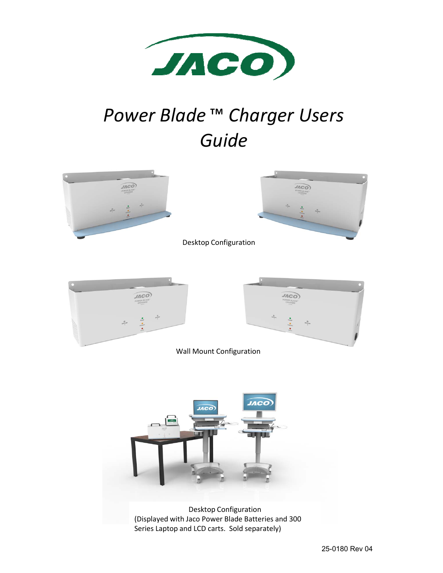

# *Power Blade* ™ *Charger Users Guide*





Desktop Configuration





Wall Mount Configuration



Desktop Configuration (Displayed with Jaco Power Blade Batteries and 300 Series Laptop and LCD carts. Sold separately)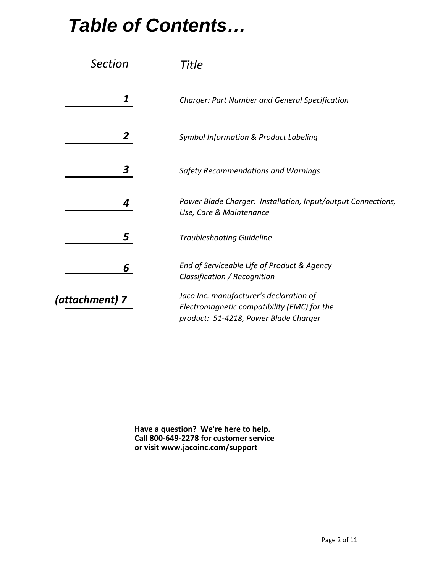## *Table of Contents…*

| Section        | Title                                                                                                                           |
|----------------|---------------------------------------------------------------------------------------------------------------------------------|
| 1              | <b>Charger: Part Number and General Specification</b>                                                                           |
| $\mathbf{2}$   | Symbol Information & Product Labeling                                                                                           |
| 3              | Safety Recommendations and Warnings                                                                                             |
| 4              | Power Blade Charger: Installation, Input/output Connections,<br>Use, Care & Maintenance                                         |
| 5              | <b>Troubleshooting Guideline</b>                                                                                                |
| 6              | End of Serviceable Life of Product & Agency<br>Classification / Recognition                                                     |
| (attachment) 7 | Jaco Inc. manufacturer's declaration of<br>Electromagnetic compatibility (EMC) for the<br>product: 51-4218, Power Blade Charger |

**Have a question? We're here to help. Call 800‐649‐2278 for customer service or visit www.jacoinc.com/support**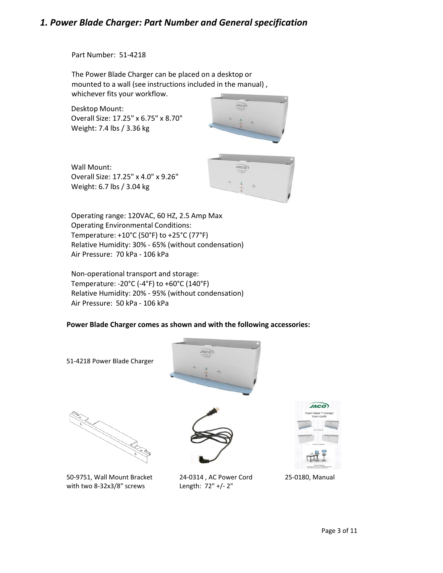### *1. Power Blade Charger: Part Number and General specification*

Part Number: 51‐4218

The Power Blade Charger can be placed on a desktop or mounted to a wall (see instructions included in the manual) , whichever fits your workflow.

Desktop Mount: Overall Size: 17.25" x 6.75" x 8.70" Weight: 7.4 lbs / 3.36 kg



Wall Mount: Overall Size: 17.25" x 4.0" x 9.26" Weight: 6.7 lbs / 3.04 kg



Operating range: 120VAC, 60 HZ, 2.5 Amp Max Operating Environmental Conditions: Temperature: +10°C (50°F) to +25°C (77°F) Relative Humidity: 30% ‐ 65% (without condensation) Air Pressure: 70 kPa ‐ 106 kPa

Non‐operational transport and storage: Temperature: ‐20°C (‐4°F) to +60°C (140°F) Relative Humidity: 20% ‐ 95% (without condensation) Air Pressure: 50 kPa ‐ 106 kPa

#### **Power Blade Charger comes as shown and with the following accessories:**



50‐9751, Wall Mount Bracket 24‐0314 , AC Power Cord 25‐0180, Manual with two 8‐32x3/8" screws Length: 72" +/‐ 2"

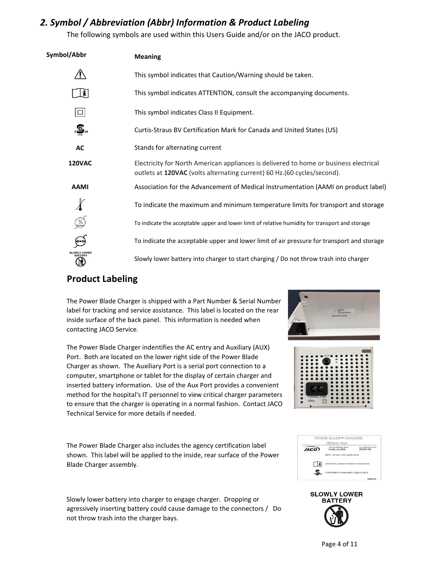## *2. Symbol / Abbreviation (Abbr) Information & Product Labeling*

The following symbols are used within this Users Guide and/or on the JACO product.

| Symbol/Abbr                                 | <b>Meaning</b>                                                                                                                                                    |
|---------------------------------------------|-------------------------------------------------------------------------------------------------------------------------------------------------------------------|
|                                             | This symbol indicates that Caution/Warning should be taken.                                                                                                       |
| Ŀ۱                                          | This symbol indicates ATTENTION, consult the accompanying documents.                                                                                              |
| $\Box$                                      | This symbol indicates Class II Equipment.                                                                                                                         |
| $\overline{c}$ $\overline{w}$ <sub>us</sub> | Curtis-Straus BV Certification Mark for Canada and United States (US)                                                                                             |
| AC                                          | Stands for alternating current                                                                                                                                    |
| <b>120VAC</b>                               | Electricity for North American appliances is delivered to home or business electrical<br>outlets at 120VAC (volts alternating current) 60 Hz. (60 cycles/second). |
| <b>AAMI</b>                                 | Association for the Advancement of Medical Instrumentation (AAMI on product label)                                                                                |
|                                             | To indicate the maximum and minimum temperature limits for transport and storage                                                                                  |
| 2                                           | To indicate the acceptable upper and lower limit of relative humidity for transport and storage                                                                   |
|                                             | To indicate the acceptable upper and lower limit of air pressure for transport and storage                                                                        |
|                                             | Slowly lower battery into charger to start charging / Do not throw trash into charger                                                                             |

## **Product Labeling**

The Power Blade Charger is shipped with a Part Number & Serial Number label for tracking and service assistance. This label is located on the rear inside surface of the back panel. This information is needed when contacting JACO Service.

The Power Blade Charger indentifies the AC entry and Auxiliary (AUX) Port. Both are located on the lower right side of the Power Blade Charger as shown. The Auxiliary Port is a serial port connection to a computer, smartphone or tablet for the display of certain charger and inserted battery information. Use of the Aux Port provides a convenient method for the hospital's IT personnel to view critical charger parameters to ensure that the charger is operating in a normal fashion. Contact JACO Technical Service for more details if needed.

The Power Blade Charger also includes the agency certification label shown. This label will be applied to the inside, rear surface of the Power Blade Charger assembly.

Slowly lower battery into charger to engage charger. Dropping or agressively inserting battery could cause damage to the connectors / Do not throw trash into the charger bays.







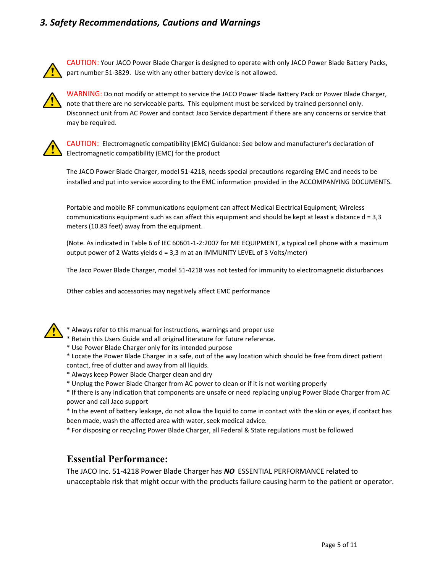## *3. Safety Recommendations, Cautions and Warnings*



CAUTION: Your JACO Power Blade Charger is designed to operate with only JACO Power Blade Battery Packs, part number 51‐3829. Use with any other battery device is not allowed.



WARNING: Do not modify or attempt to service the JACO Power Blade Battery Pack or Power Blade Charger, note that there are no serviceable parts. This equipment must be serviced by trained personnel only. Disconnect unit from AC Power and contact Jaco Service department if there are any concerns or service that may be required.



CAUTION: Electromagnetic compatibility (EMC) Guidance: See below and manufacturer's declaration of Electromagnetic compatibility (EMC) for the product

The JACO Power Blade Charger, model 51‐4218, needs special precautions regarding EMC and needs to be installed and put into service according to the EMC information provided in the ACCOMPANYING DOCUMENTS.

Portable and mobile RF communications equipment can affect Medical Electrical Equipment; Wireless communications equipment such as can affect this equipment and should be kept at least a distance  $d = 3,3$ meters (10.83 feet) away from the equipment.

(Note. As indicated in Table 6 of IEC 60601‐1‐2:2007 for ME EQUIPMENT, a typical cell phone with a maximum output power of 2 Watts yields d = 3,3 m at an IMMUNITY LEVEL of 3 Volts/meter)

The Jaco Power Blade Charger, model 51‐4218 was not tested for immunity to electromagnetic disturbances

Other cables and accessories may negatively affect EMC performance



\* Always refer to this manual for instructions, warnings and proper use

- \* Retain this Users Guide and all original literature for future reference.
- \* Use Power Blade Charger only for its intended purpose
- \* Locate the Power Blade Charger in a safe, out of the way location which should be free from direct patient contact, free of clutter and away from all liquids.
- \* Always keep Power Blade Charger clean and dry
- \* Unplug the Power Blade Charger from AC power to clean or if it is not working properly

\* If there is any indication that components are unsafe or need replacing unplug Power Blade Charger from AC power and call Jaco support

\* In the event of battery leakage, do not allow the liquid to come in contact with the skin or eyes, if contact has been made, wash the affected area with water, seek medical advice.

\* For disposing or recycling Power Blade Charger, all Federal & State regulations must be followed

#### **Essential Performance:**

The JACO Inc. 51‐4218 Power Blade Charger has *NO* ESSENTIAL PERFORMANCE related to unacceptable risk that might occur with the products failure causing harm to the patient or operator.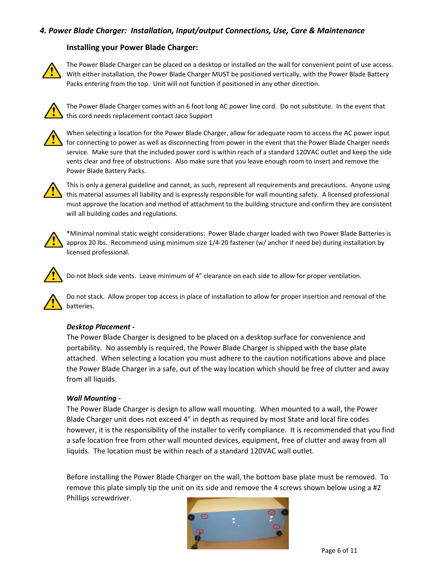#### *4. Power Blade Charger: Installation, Input/output Connections, Use, Care & Maintenance*

#### **Installing your Power Blade Charger:**



The Power Blade Charger can be placed on a desktop or installed on the wall for convenient point of use access. With either installation, the Power Blade Charger MUST be positioned vertically, with the Power Blade Battery Packs entering from the top. Unit will not function if positioned in any other direction.



The Power Blade Charger comes with an 6 foot long AC power line cord. Do not substitute. In the event that this cord needs replacement contact Jaco Support



When selecting a location for the Power Blade Charger, allow for adequate room to access the AC power input for connecting to power as well as disconnecting from power in the event that the Power Blade Charger needs service. Make sure that the included power cord is within reach of a standard 120VAC outlet and keep the side vents clear and free of obstructions. Also make sure that you leave enough room to insert and remove the Power Blade Battery Packs.



This is only a general guideline and cannot, as such, represent all requirements and precautions. Anyone using this material assumes all liability and is expressly responsible for wall mounting safety. A licensed professional must approve the location and method of attachment to the building structure and confirm they are consistent will all building codes and regulations.



\*Minimal nominal static weight considerations: Power Blade charger loaded with two Power Blade Batteries is approx 20 lbs. Recommend using minimum size 1/4‐20 fastener (w/ anchor if need be) during installation by licensed professional.



Do not block side vents. Leave minimum of 4" clearance on each side to allow for proper ventilation.

Do not stack. Allow proper top access in place of installation to allow for proper insertion and removal of the batteries.

#### *Desktop Placement ‐*

The Power Blade Charger is designed to be placed on a desktop surface for convenience and portability. No assembly is required, the Power Blade Charger is shipped with the base plate attached. When selecting a location you must adhere to the caution notifications above and place the Power Blade Charger in a safe, out of the way location which should be free of clutter and away from all liquids.

#### *Wall Mounting ‐*

The Power Blade Charger is design to allow wall mounting. When mounted to a wall, the Power Blade Charger unit does not exceed 4" in depth as required by most State and local fire codes however, it is the responsibility of the installer to verify compliance. It is recommended that you find a safe location free from other wall mounted devices, equipment, free of clutter and away from all liquids. The location must be within reach of a standard 120VAC wall outlet.

Before installing the Power Blade Charger on the wall, the bottom base plate must be removed. To remove this plate simply tip the unit on its side and remove the 4 screws shown below using a #2 Phillips screwdriver.

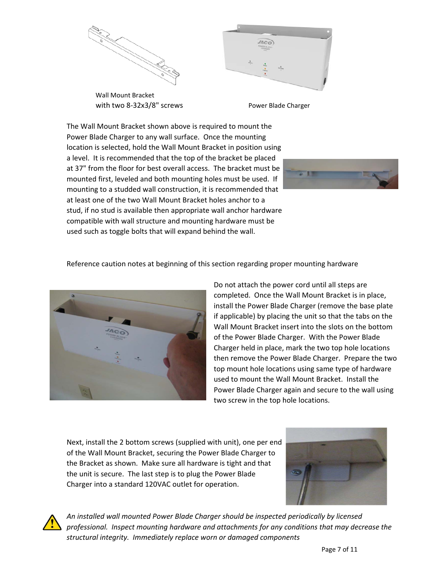

with two 8‐32x3/8" screws Wall Mount Bracket



Power Blade Charger

The Wall Mount Bracket shown above is required to mount the Power Blade Charger to any wall surface. Once the mounting location is selected, hold the Wall Mount Bracket in position using a level. It is recommended that the top of the bracket be placed at 37" from the floor for best overall access. The bracket must be mounted first, leveled and both mounting holes must be used. If mounting to a studded wall construction, it is recommended that at least one of the two Wall Mount Bracket holes anchor to a stud, if no stud is available then appropriate wall anchor hardware compatible with wall structure and mounting hardware must be used such as toggle bolts that will expand behind the wall.



Reference caution notes at beginning of this section regarding proper mounting hardware



Do not attach the power cord until all steps are completed. Once the Wall Mount Bracket is in place, install the Power Blade Charger (remove the base plate if applicable) by placing the unit so that the tabs on the Wall Mount Bracket insert into the slots on the bottom of the Power Blade Charger. With the Power Blade Charger held in place, mark the two top hole locations then remove the Power Blade Charger. Prepare the two top mount hole locations using same type of hardware used to mount the Wall Mount Bracket. Install the Power Blade Charger again and secure to the wall using two screw in the top hole locations.

Next, install the 2 bottom screws (supplied with unit), one per end of the Wall Mount Bracket, securing the Power Blade Charger to the Bracket as shown. Make sure all hardware is tight and that the unit is secure. The last step is to plug the Power Blade Charger into a standard 120VAC outlet for operation.





*An installed wall mounted Power Blade Charger should be inspected periodically by licensed professional. Inspect mounting hardware and attachments for any conditions that may decrease the structural integrity. Immediately replace worn or damaged components*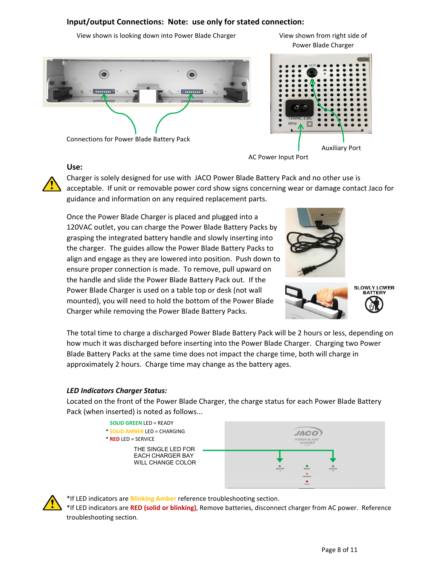#### **Input/output Connections: Note: use only for stated connection:**

View shown is looking down into Power Blade Charger



Connections for Power Blade Battery Pack

#### **Use:**

Power Blade Charger

View shown from right side of



AC Power Input Port



Charger is solely designed for use with JACO Power Blade Battery Pack and no other use is acceptable. If unit or removable power cord show signs concerning wear or damage contact Jaco for guidance and information on any required replacement parts.

Once the Power Blade Charger is placed and plugged into a 120VAC outlet, you can charge the Power Blade Battery Packs by grasping the integrated battery handle and slowly inserting into the charger. The guides allow the Power Blade Battery Packs to align and engage as they are lowered into position. Push down to ensure proper connection is made. To remove, pull upward on the handle and slide the Power Blade Battery Pack out. If the Power Blade Charger is used on a table top or desk (not wall mounted), you will need to hold the bottom of the Power Blade Charger while removing the Power Blade Battery Packs.







The total time to charge a discharged Power Blade Battery Pack will be 2 hours or less, depending on how much it was discharged before inserting into the Power Blade Charger. Charging two Power Blade Battery Packs at the same time does not impact the charge time, both will charge in approximately 2 hours. Charge time may change as the battery ages.

#### *LED Indicators Charger Status:*

Located on the front of the Power Blade Charger, the charge status for each Power Blade Battery Pack (when inserted) is noted as follows...



\*If LED indicators are **Blinking Amber** reference troubleshooting section.

\*If LED indicators are **RED (solid or blinking)**, Remove batteries, disconnect charger from AC power. Reference troubleshooting section.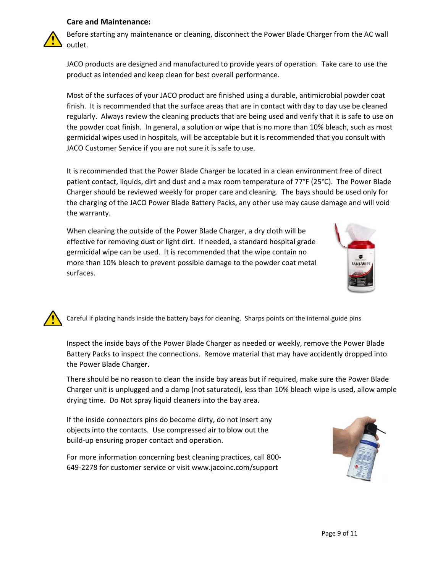#### **Care and Maintenance:**



Before starting any maintenance or cleaning, disconnect the Power Blade Charger from the AC wall outlet.

JACO products are designed and manufactured to provide years of operation. Take care to use the product as intended and keep clean for best overall performance.

Most of the surfaces of your JACO product are finished using a durable, antimicrobial powder coat finish. It is recommended that the surface areas that are in contact with day to day use be cleaned regularly. Always review the cleaning products that are being used and verify that it is safe to use on the powder coat finish. In general, a solution or wipe that is no more than 10% bleach, such as most germicidal wipes used in hospitals, will be acceptable but it is recommended that you consult with JACO Customer Service if you are not sure it is safe to use.

It is recommended that the Power Blade Charger be located in a clean environment free of direct patient contact, liquids, dirt and dust and a max room temperature of 77°F (25°C). The Power Blade Charger should be reviewed weekly for proper care and cleaning. The bays should be used only for the charging of the JACO Power Blade Battery Packs, any other use may cause damage and will void the warranty.

When cleaning the outside of the Power Blade Charger, a dry cloth will be effective for removing dust or light dirt. If needed, a standard hospital grade germicidal wipe can be used. It is recommended that the wipe contain no more than 10% bleach to prevent possible damage to the powder coat metal surfaces.



Careful if placing hands inside the battery bays for cleaning. Sharps points on the internal guide pins

Inspect the inside bays of the Power Blade Charger as needed or weekly, remove the Power Blade Battery Packs to inspect the connections. Remove material that may have accidently dropped into the Power Blade Charger.

There should be no reason to clean the inside bay areas but if required, make sure the Power Blade Charger unit is unplugged and a damp (not saturated), less than 10% bleach wipe is used, allow ample drying time. Do Not spray liquid cleaners into the bay area.

If the inside connectors pins do become dirty, do not insert any objects into the contacts. Use compressed air to blow out the build‐up ensuring proper contact and operation.

For more information concerning best cleaning practices, call 800‐ 649‐2278 for customer service or visit www.jacoinc.com/support

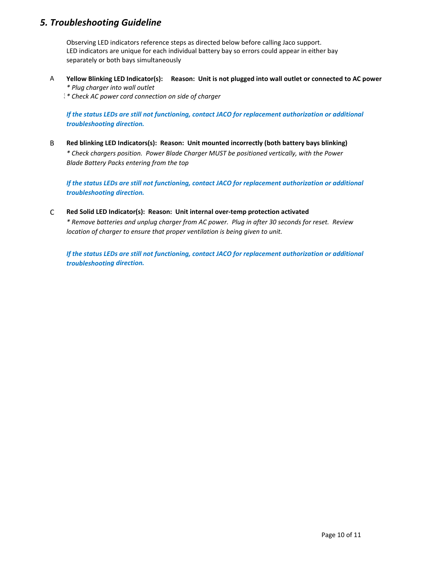### *5. Troubleshooting Guideline*

Observing LED indicators reference steps as directed below before calling Jaco support. LED indicators are unique for each individual battery bay so errors could appear in either bay separately or both bays simultaneously

- A **Yellow Blinking LED Indicator(s): Reason: Unit is not plugged into wall outlet or connected to AC power** *\* Plug charger into wall outlet*
	- 3 *\* Check AC power cord connection on side of charger*

*If the status LEDs are still not functioning, contact JACO for replacement authorization or additional troubleshooting direction.* 

B **Red blinking LED Indicators(s): Reason: Unit mounted incorrectly (both battery bays blinking)** *\* Check chargers position. Power Blade Charger MUST be positioned vertically, with the Power Blade Battery Packs entering from the top*

*If the status LEDs are still not functioning, contact JACO for replacement authorization or additional troubleshooting direction.* 

C **Red Solid LED Indicator(s): Reason: Unit internal over‐temp protection activated**

*\* Remove batteries and unplug charger from AC power. Plug in after 30 seconds for reset. Review location of charger to ensure that proper ventilation is being given to unit.*

*If the status LEDs are still not functioning, contact JACO for replacement authorization or additional troubleshooting direction.*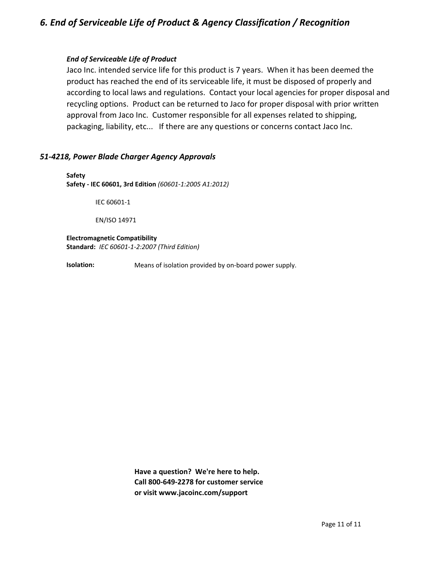## *6. End of Serviceable Life of Product & Agency Classification / Recognition*

#### *End of Serviceable Life of Product*

Jaco Inc. intended service life for this product is 7 years. When it has been deemed the product has reached the end of its serviceable life, it must be disposed of properly and according to local laws and regulations. Contact your local agencies for proper disposal and recycling options. Product can be returned to Jaco for proper disposal with prior written approval from Jaco Inc. Customer responsible for all expenses related to shipping, packaging, liability, etc... If there are any questions or concerns contact Jaco Inc.

#### *51‐4218, Power Blade Charger Agency Approvals*

**Safety Safety ‐ IEC 60601, 3rd Edition** *(60601‐1:2005 A1:2012)*

IEC 60601‐1

EN/ISO 14971

#### **Electromagnetic Compatibility Standard:** *IEC 60601‐1‐2:2007 (Third Edition)*

Means of isolation provided by on‐board power supply. **Isolation:** 

> **Have a question? We're here to help. Call 800‐649‐2278 for customer service or visit www.jacoinc.com/support**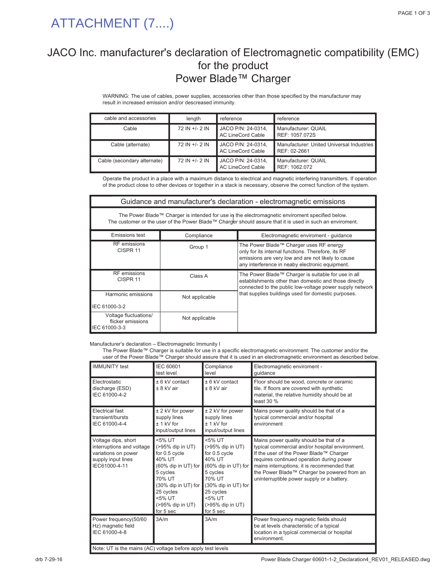## ATTACHMENT (7....)

## JACO Inc. manufacturer's declaration of Electromagnetic compatibility (EMC) for the product Power Blade™ Charger

WARNING: The use of cables, power supplies, accessories other than those specified by the manufacturer may result in increased emission and/or descreased immunity.

| cable and accessories       | length         | reference                                      | reference                                                 |
|-----------------------------|----------------|------------------------------------------------|-----------------------------------------------------------|
| Cable                       | 72 IN +/- 2 IN | JACO P/N: 24-0314,<br><b>AC LineCord Cable</b> | Manufacturer: QUAIL<br>REF: 1057.072S                     |
| Cable (alternate)           | 72 IN +/- 2 IN | JACO P/N: 24-0314,<br><b>AC LineCord Cable</b> | Manufacturer: United Universal Industries<br>REF: 02-2661 |
| Cable (secondary alternate) | 72 IN +/- 2 IN | JACO P/N: 24-0314,<br><b>AC LineCord Cable</b> | Manufacturer: QUAIL<br>REF: 1062.072                      |

Operate the product in a place with a maximum distance to electrical and magnetic interfering transmitters. If operation of the product close to other devices or together in a stack is necessary, observe the correct function of the system.

| Guidance and manufacturer's declaration - electromagnetic emissions                                                                                                                                          |                                                     |                                                                                                                                                                                                        |  |
|--------------------------------------------------------------------------------------------------------------------------------------------------------------------------------------------------------------|-----------------------------------------------------|--------------------------------------------------------------------------------------------------------------------------------------------------------------------------------------------------------|--|
| The Power Blade™ Charger is intended for use in the electromagnetic enviroment specified below.<br>The customer or the user of the Power Blade™ Charger should assure that it is used in such an enviroment. |                                                     |                                                                                                                                                                                                        |  |
| Emissions test                                                                                                                                                                                               | Compliance<br>Electromagnetic enviroment - guidance |                                                                                                                                                                                                        |  |
| <b>RF</b> emissions<br>CISPR <sub>11</sub>                                                                                                                                                                   | Group 1                                             | The Power Blade™ Charger uses RF energy<br>only for its internal functions. Therefore, its RF<br>emissions are very low and are not likely to cause<br>any interference in neaby electronic equipment. |  |
| <b>RF</b> emissions<br>CISPR <sub>11</sub>                                                                                                                                                                   | Class A                                             | The Power Blade™ Charger is suitable for use in all<br>establishments other than domestic and those directly<br>connected to the public low-voltage power supply network                               |  |
| Harmonic emissions<br>IEC 61000-3-2                                                                                                                                                                          | Not applicable                                      | that supplies buildings used for domestic purposes.                                                                                                                                                    |  |
| Voltage fluctuations/<br>flicker emissions<br>IEC 61000-3-3                                                                                                                                                  | Not applicable                                      |                                                                                                                                                                                                        |  |

Manufacturer's declaration – Electromagnetic Immunity I

The Power Blade™ Charger is suitable for use in a specific electromagnetic environment. The customer and/or the user of the Power Blade™ Charger should assure that it is used in an electromagnetic environment as described below.

| <b>IMMUNITY</b> test                                                                                           | IEC 60601<br>test level                                                                                                                                                           | Compliance<br>level                                                                                                                                                               | Electromagnetic enviroment -<br>quidance                                                                                                                                                                                                                                                                                       |
|----------------------------------------------------------------------------------------------------------------|-----------------------------------------------------------------------------------------------------------------------------------------------------------------------------------|-----------------------------------------------------------------------------------------------------------------------------------------------------------------------------------|--------------------------------------------------------------------------------------------------------------------------------------------------------------------------------------------------------------------------------------------------------------------------------------------------------------------------------|
| Electrostatic<br>discharge (ESD)<br>IEC 61000-4-2                                                              | $± 6$ kV contact<br>± 8 kV air                                                                                                                                                    | $± 6$ kV contact<br>$± 8$ kV air                                                                                                                                                  | Floor should be wood, concrete or ceramic<br>tile. If floors are covered with synthetic<br>material, the relative humidity should be at<br>least 30 %                                                                                                                                                                          |
| <b>Electrical fast</b><br>transient/bursts<br>IEC 61000-4-4                                                    | ± 2 kV for power<br>supply lines<br>$± 1$ kV for<br>input/output lines                                                                                                            | ± 2 kV for power<br>supply lines<br>$± 1$ kV for<br>input/output lines                                                                                                            | Mains power quality should be that of a<br>typical commercial and/or hospital<br>environment                                                                                                                                                                                                                                   |
| Voltage dips, short<br>interruptions and voltage<br>variations on power<br>supply input lines<br>IEC61000-4-11 | <5% UT<br>(>95% dip in UT)<br>for 0.5 cycle<br>40% UT<br>(60% dip in UT) for<br>5 cycles<br>70% UT<br>(30% dip in UT) for<br>25 cycles<br><5% UT<br>(>95% dip in UT)<br>for 5 sec | <5% UT<br>(>95% dip in UT)<br>for 0.5 cycle<br>40% UT<br>(60% dip in UT) for<br>5 cycles<br>70% UT<br>(30% dip in UT) for<br>25 cycles<br><5% UT<br>(>95% dip in UT)<br>for 5 sec | Mains power quality should be that of a<br>typical commercial and/or hospital environment.<br>If the user of the Power Blade™ Charger<br>requires continued operation during power<br>mains interruptions, it is recommended that<br>the Power Blade™ Charger be powered from an<br>uninterruptible power supply or a battery. |
| Power frequency(50/60<br>Hz) magnetic field<br>IEC 61000-4-8                                                   | 3A/m                                                                                                                                                                              | 3A/m                                                                                                                                                                              | Power frequency magnetic fields should<br>be at levels characteristic of a typical<br>location in a typical commercial or hospital<br>environment.                                                                                                                                                                             |

Note: UT is the mains (AC) voltage before apply test levels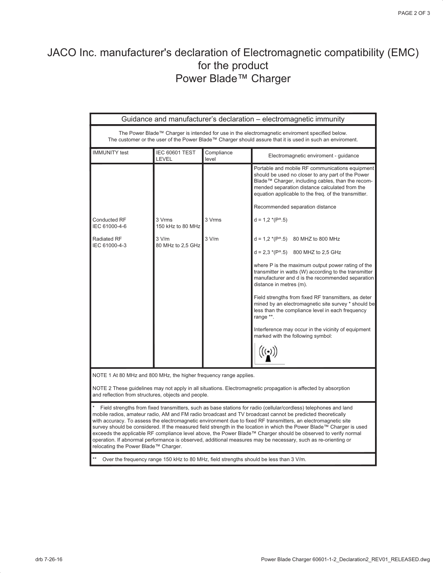## JACO Inc. manufacturer's declaration of Electromagnetic compatibility (EMC) for the product Power Blade™ Charger

| Guidance and manufacturer's declaration - electromagnetic immunity                                                                                                                                                                                                                                                                                                                                                                                                                                                                                                                                                                                                                                                                                   |                                |                     |                                                                                                                                                                                                                                                                                                                                                                                                                                                                                                               |
|------------------------------------------------------------------------------------------------------------------------------------------------------------------------------------------------------------------------------------------------------------------------------------------------------------------------------------------------------------------------------------------------------------------------------------------------------------------------------------------------------------------------------------------------------------------------------------------------------------------------------------------------------------------------------------------------------------------------------------------------------|--------------------------------|---------------------|---------------------------------------------------------------------------------------------------------------------------------------------------------------------------------------------------------------------------------------------------------------------------------------------------------------------------------------------------------------------------------------------------------------------------------------------------------------------------------------------------------------|
| The Power Blade™ Charger is intended for use in the electromagnetic enviroment specified below.<br>The customer or the user of the Power Blade™ Charger should assure that it is used in such an enviroment.                                                                                                                                                                                                                                                                                                                                                                                                                                                                                                                                         |                                |                     |                                                                                                                                                                                                                                                                                                                                                                                                                                                                                                               |
| <b>IMMUNITY</b> test                                                                                                                                                                                                                                                                                                                                                                                                                                                                                                                                                                                                                                                                                                                                 | <b>IEC 60601 TEST</b><br>LEVEL | Compliance<br>level | Electromagnetic enviroment - guidance                                                                                                                                                                                                                                                                                                                                                                                                                                                                         |
| Conducted RF<br>IEC 61000-4-6                                                                                                                                                                                                                                                                                                                                                                                                                                                                                                                                                                                                                                                                                                                        | 3 Vrms<br>150 kHz to 80 MHz    | 3 Vrms              | Portable and mobile RF communications equipment<br>should be used no closer to any part of the Power<br>Blade™ Charger, including cables, than the recom-<br>mended separation distance calculated from the<br>equation applicable to the freq. of the transmitter.<br>Recommended separation distance<br>$d = 1.2*(P^{\wedge}.5)$                                                                                                                                                                            |
| <b>Radiated RF</b><br>IEC 61000-4-3                                                                                                                                                                                                                                                                                                                                                                                                                                                                                                                                                                                                                                                                                                                  | 3 V/m<br>80 MHz to 2,5 GHz     | 3 V/m               | $d = 1.2*(P^*0.5)$ 80 MHZ to 800 MHz                                                                                                                                                                                                                                                                                                                                                                                                                                                                          |
|                                                                                                                                                                                                                                                                                                                                                                                                                                                                                                                                                                                                                                                                                                                                                      |                                |                     | $d = 2.3$ *(P^.5) 800 MHZ to 2.5 GHz<br>where P is the maximum output power rating of the<br>transmitter in watts (W) according to the transmitter<br>manufacturer and d is the recommended separation<br>distance in metres (m).<br>Field strengths from fixed RF transmitters, as deter<br>mined by an electromagnetic site survey * should be<br>less than the compliance level in each frequency<br>range **.<br>Interference may occur in the vicinity of equipment<br>marked with the following symbol: |
| NOTE 1 At 80 MHz and 800 MHz, the higher frequency range applies.                                                                                                                                                                                                                                                                                                                                                                                                                                                                                                                                                                                                                                                                                    |                                |                     |                                                                                                                                                                                                                                                                                                                                                                                                                                                                                                               |
| NOTE 2 These guidelines may not apply in all situations. Electromagnetic propagation is affected by absorption<br>and reflection from structures, objects and people.                                                                                                                                                                                                                                                                                                                                                                                                                                                                                                                                                                                |                                |                     |                                                                                                                                                                                                                                                                                                                                                                                                                                                                                                               |
| Field strengths from fixed transmitters, such as base stations for radio (cellular/cordless) telephones and land<br>mobile radios, amateur radio, AM and FM radio broadcast and TV broadcast cannot be predicted theoretically<br>with accuracy. To assess the electromagnetic environment due to fixed RF transmitters, an electromagnetic site<br>survey should be considered. If the measured field strength in the location in which the Power Blade™ Charger is used<br>exceeds the applicable RF compliance level above, the Power Blade™ Charger should be observed to verify normal<br>operation. If abnormal performance is observed, additional measures may be necessary, such as re-orienting or<br>relocating the Power Blade™ Charger. |                                |                     |                                                                                                                                                                                                                                                                                                                                                                                                                                                                                                               |
| Over the frequency range 150 kHz to 80 MHz, field strengths should be less than 3 V/m.                                                                                                                                                                                                                                                                                                                                                                                                                                                                                                                                                                                                                                                               |                                |                     |                                                                                                                                                                                                                                                                                                                                                                                                                                                                                                               |